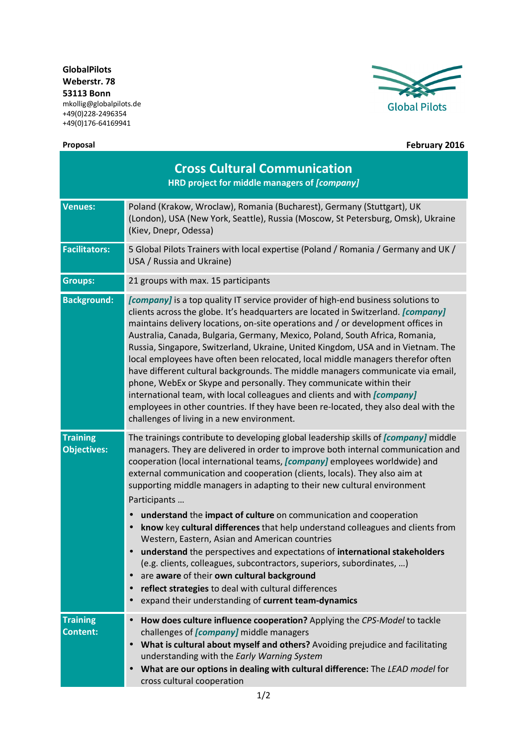**GlobalPilots Weberstr. 78 53113 Bonn**  mkollig@globalpilots.de +49(0)228-2496354

+49(0)176-64169941





**Proposal February 2016**

| <b>Cross Cultural Communication</b><br>HRD project for middle managers of [company] |                                                                                                                                                                                                                                                                                                                                                                                                                                                                                                                                                                                                                                                                                                                                                                                                                                                                                                                                                                           |
|-------------------------------------------------------------------------------------|---------------------------------------------------------------------------------------------------------------------------------------------------------------------------------------------------------------------------------------------------------------------------------------------------------------------------------------------------------------------------------------------------------------------------------------------------------------------------------------------------------------------------------------------------------------------------------------------------------------------------------------------------------------------------------------------------------------------------------------------------------------------------------------------------------------------------------------------------------------------------------------------------------------------------------------------------------------------------|
| <b>Venues:</b>                                                                      | Poland (Krakow, Wroclaw), Romania (Bucharest), Germany (Stuttgart), UK<br>(London), USA (New York, Seattle), Russia (Moscow, St Petersburg, Omsk), Ukraine<br>(Kiev, Dnepr, Odessa)                                                                                                                                                                                                                                                                                                                                                                                                                                                                                                                                                                                                                                                                                                                                                                                       |
| <b>Facilitators:</b>                                                                | 5 Global Pilots Trainers with local expertise (Poland / Romania / Germany and UK /<br>USA / Russia and Ukraine)                                                                                                                                                                                                                                                                                                                                                                                                                                                                                                                                                                                                                                                                                                                                                                                                                                                           |
| <b>Groups:</b>                                                                      | 21 groups with max. 15 participants                                                                                                                                                                                                                                                                                                                                                                                                                                                                                                                                                                                                                                                                                                                                                                                                                                                                                                                                       |
| <b>Background:</b>                                                                  | [company] is a top quality IT service provider of high-end business solutions to<br>clients across the globe. It's headquarters are located in Switzerland. [company]<br>maintains delivery locations, on-site operations and / or development offices in<br>Australia, Canada, Bulgaria, Germany, Mexico, Poland, South Africa, Romania,<br>Russia, Singapore, Switzerland, Ukraine, United Kingdom, USA and in Vietnam. The<br>local employees have often been relocated, local middle managers therefor often<br>have different cultural backgrounds. The middle managers communicate via email,<br>phone, WebEx or Skype and personally. They communicate within their<br>international team, with local colleagues and clients and with <i>[company]</i><br>employees in other countries. If they have been re-located, they also deal with the<br>challenges of living in a new environment.                                                                        |
| <b>Training</b><br><b>Objectives:</b>                                               | The trainings contribute to developing global leadership skills of [company] middle<br>managers. They are delivered in order to improve both internal communication and<br>cooperation (local international teams, [company] employees worldwide) and<br>external communication and cooperation (clients, locals). They also aim at<br>supporting middle managers in adapting to their new cultural environment<br>Participants<br>understand the impact of culture on communication and cooperation<br>know key cultural differences that help understand colleagues and clients from<br>Western, Eastern, Asian and American countries<br>understand the perspectives and expectations of international stakeholders<br>(e.g. clients, colleagues, subcontractors, superiors, subordinates, )<br>are aware of their own cultural background<br>$\bullet$<br>reflect strategies to deal with cultural differences<br>expand their understanding of current team-dynamics |
| <b>Training</b><br><b>Content:</b>                                                  | How does culture influence cooperation? Applying the CPS-Model to tackle<br>$\bullet$<br>challenges of [company] middle managers<br>What is cultural about myself and others? Avoiding prejudice and facilitating<br>$\bullet$<br>understanding with the Early Warning System<br>What are our options in dealing with cultural difference: The LEAD model for<br>cross cultural cooperation                                                                                                                                                                                                                                                                                                                                                                                                                                                                                                                                                                               |